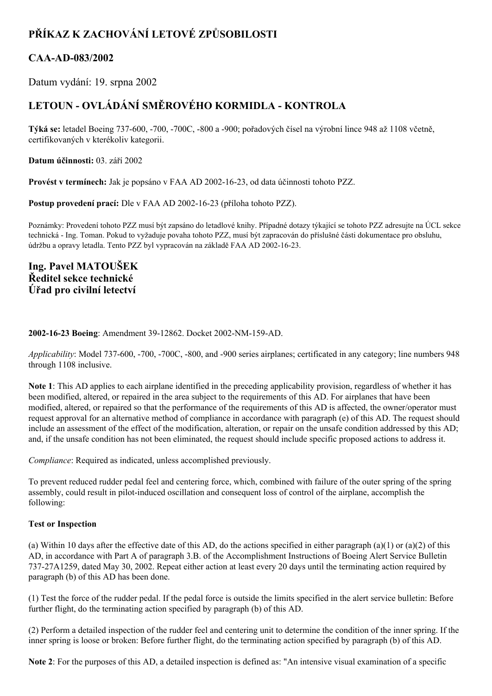# **PŘÍKAZ K ZACHOVÁNÍ LETOVÉ ZPŮSOBILOSTI**

## **CAAAD083/2002**

Datum vydání: 19. srpna 2002

## **LETOUN OVLÁDÁNÍ SMĚROVÉHO KORMIDLA KONTROLA**

**Týká se:** letadel Boeing 737600, 700, 700C, 800 a 900; pořadových čísel na výrobní lince 948 až 1108 včetně, certifikovaných v kterékoliv kategorii.

**Datum účinnosti:** 03. září 2002

**Provést v termínech:** Jak je popsáno v FAA AD 2002-16-23, od data účinnosti tohoto PZZ.

**Postup provedení prací:** Dle v FAA AD 2002-16-23 (příloha tohoto PZZ).

Poznámky: Provedení tohoto PZZ musí být zapsáno do letadlové knihy. Případné dotazy týkající se tohoto PZZ adresujte na ÚCL sekce technická - Ing. Toman. Pokud to vyžaduje povaha tohoto PZZ, musí být zapracován do příslušné části dokumentace pro obsluhu, údržbu a opravy letadla. Tento PZZ byl vypracován na základě FAA AD 2002-16-23.

**Ing. Pavel MATOUŠEK Ředitel sekce technické Úřad pro civilní letectví**

## **2002-16-23 Boeing: Amendment 39-12862. Docket 2002-NM-159-AD.**

*Applicability*: Model 737-600, -700, -700C, -800, and -900 series airplanes; certificated in any category; line numbers 948 through 1108 inclusive.

**Note 1**: This AD applies to each airplane identified in the preceding applicability provision, regardless of whether it has been modified, altered, or repaired in the area subject to the requirements of this AD. For airplanes that have been modified, altered, or repaired so that the performance of the requirements of this AD is affected, the owner/operator must request approval for an alternative method of compliance in accordance with paragraph (e) of this AD. The request should include an assessment of the effect of the modification, alteration, or repair on the unsafe condition addressed by this AD; and, if the unsafe condition has not been eliminated, the request should include specific proposed actions to address it.

*Compliance*: Required as indicated, unless accomplished previously.

To prevent reduced rudder pedal feel and centering force, which, combined with failure of the outer spring of the spring assembly, could result in pilot-induced oscillation and consequent loss of control of the airplane, accomplish the following:

## **Test or Inspection**

(a) Within 10 days after the effective date of this AD, do the actions specified in either paragraph (a)(1) or (a)(2) of this AD, in accordance with Part A of paragraph 3.B. of the Accomplishment Instructions of Boeing Alert Service Bulletin 73727A1259, dated May 30, 2002. Repeat either action at least every 20 days until the terminating action required by paragraph (b) of this AD has been done.

(1) Test the force of the rudder pedal. If the pedal force is outside the limits specified in the alert service bulletin: Before further flight, do the terminating action specified by paragraph (b) of this AD.

(2) Perform a detailed inspection of the rudder feel and centering unit to determine the condition of the inner spring. If the inner spring is loose or broken: Before further flight, do the terminating action specified by paragraph (b) of this AD.

**Note 2**: For the purposes of this AD, a detailed inspection is defined as: "An intensive visual examination of a specific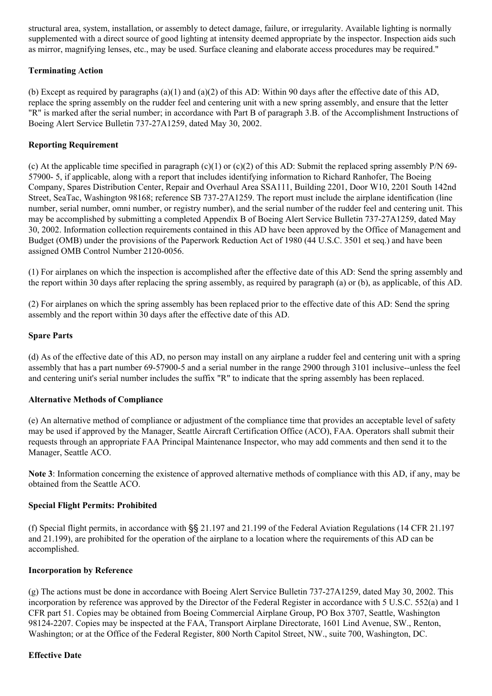structural area, system, installation, or assembly to detect damage, failure, or irregularity. Available lighting is normally supplemented with a direct source of good lighting at intensity deemed appropriate by the inspector. Inspection aids such as mirror, magnifying lenses, etc., may be used. Surface cleaning and elaborate access procedures may be required."

## **Terminating Action**

(b) Except as required by paragraphs (a)(1) and (a)(2) of this AD: Within 90 days after the effective date of this AD, replace the spring assembly on the rudder feel and centering unit with a new spring assembly, and ensure that the letter "R" is marked after the serial number; in accordance with Part B of paragraph 3.B. of the Accomplishment Instructions of Boeing Alert Service Bulletin 737-27A1259, dated May 30, 2002.

## **Reporting Requirement**

(c) At the applicable time specified in paragraph (c)(1) or (c)(2) of this AD: Submit the replaced spring assembly P/N 69-57900 5, if applicable, along with a report that includes identifying information to Richard Ranhofer, The Boeing Company, Spares Distribution Center, Repair and Overhaul Area SSA111, Building 2201, Door W10, 2201 South 142nd Street, SeaTac, Washington 98168; reference SB 737-27A1259. The report must include the airplane identification (line number, serial number, omni number, or registry number), and the serial number of the rudder feel and centering unit. This may be accomplished by submitting a completed Appendix B of Boeing Alert Service Bulletin 73727A1259, dated May 30, 2002. Information collection requirements contained in this AD have been approved by the Office of Management and Budget (OMB) under the provisions of the Paperwork Reduction Act of 1980 (44 U.S.C. 3501 et seq.) and have been assigned OMB Control Number 2120-0056.

(1) For airplanes on which the inspection is accomplished after the effective date of this AD: Send the spring assembly and the report within 30 days after replacing the spring assembly, as required by paragraph (a) or (b), as applicable, of this AD.

(2) For airplanes on which the spring assembly has been replaced prior to the effective date of this AD: Send the spring assembly and the report within 30 days after the effective date of this AD.

## **Spare Parts**

(d) As of the effective date of this AD, no person may install on any airplane a rudder feel and centering unit with a spring assembly that has a part number 69-57900-5 and a serial number in the range 2900 through 3101 inclusive--unless the feel and centering unit's serial number includes the suffix "R" to indicate that the spring assembly has been replaced.

## **Alternative Methods of Compliance**

(e) An alternative method of compliance or adjustment of the compliance time that provides an acceptable level of safety may be used if approved by the Manager, Seattle Aircraft Certification Office (ACO), FAA. Operators shall submit their requests through an appropriate FAA Principal Maintenance Inspector, who may add comments and then send it to the Manager, Seattle ACO.

**Note 3**: Information concerning the existence of approved alternative methods of compliance with this AD, if any, may be obtained from the Seattle ACO.

## **Special Flight Permits: Prohibited**

(f) Special flight permits, in accordance with §§ 21.197 and 21.199 of the Federal Aviation Regulations (14 CFR 21.197 and 21.199), are prohibited for the operation of the airplane to a location where the requirements of this AD can be accomplished.

## **Incorporation by Reference**

(g) The actions must be done in accordance with Boeing Alert Service Bulletin 73727A1259, dated May 30, 2002. This incorporation by reference was approved by the Director of the Federal Register in accordance with 5 U.S.C. 552(a) and 1 CFR part 51. Copies may be obtained from Boeing Commercial Airplane Group, PO Box 3707, Seattle, Washington 981242207. Copies may be inspected at the FAA, Transport Airplane Directorate, 1601 Lind Avenue, SW., Renton, Washington; or at the Office of the Federal Register, 800 North Capitol Street, NW., suite 700, Washington, DC.

## **Effective Date**